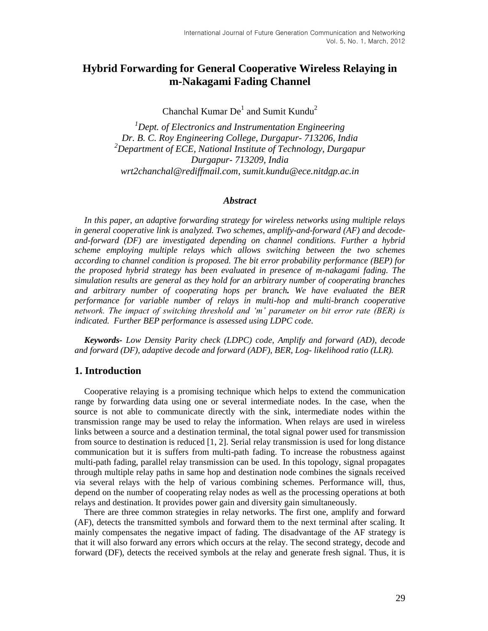# **Hybrid Forwarding for General Cooperative Wireless Relaying in m-Nakagami Fading Channel**

Chanchal Kumar  $De<sup>1</sup>$  and Sumit Kundu<sup>2</sup>

*<sup>1</sup>Dept. of Electronics and Instrumentation Engineering Dr. B. C. Roy Engineering College, Durgapur- 713206, India <sup>2</sup>Department of ECE, National Institute of Technology, Durgapur Durgapur- 713209, India wrt2chanchal@rediffmail.com, sumit.kundu@ece.nitdgp.ac.in*

#### *Abstract*

*In this paper, an adaptive forwarding strategy for wireless networks using multiple relays in general cooperative link is analyzed. Two schemes, amplify-and-forward (AF) and decodeand-forward (DF) are investigated depending on channel conditions. Further a hybrid scheme employing multiple relays which allows switching between the two schemes according to channel condition is proposed. The bit error probability performance (BEP) for the proposed hybrid strategy has been evaluated in presence of m-nakagami fading. The simulation results are general as they hold for an arbitrary number of cooperating branches and arbitrary number of cooperating hops per branch. We have evaluated the BER performance for variable number of relays in multi-hop and multi-branch cooperative network. The impact of switching threshold and 'm' parameter on bit error rate (BER) is indicated. Further BEP performance is assessed using LDPC code.*

*Keywords- Low Density Parity check (LDPC) code, Amplify and forward (AD), decode and forward (DF), adaptive decode and forward (ADF), BER, Log- likelihood ratio (LLR).*

#### **1. Introduction**

Cooperative relaying is a promising technique which helps to extend the communication range by forwarding data using one or several intermediate nodes. In the case, when the source is not able to communicate directly with the sink, intermediate nodes within the transmission range may be used to relay the information. When relays are used in wireless links between a source and a destination terminal, the total signal power used for transmission from source to destination is reduced [1, 2]. Serial relay transmission is used for long distance communication but it is suffers from multi-path fading. To increase the robustness against multi-path fading, parallel relay transmission can be used. In this topology, signal propagates through multiple relay paths in same hop and destination node combines the signals received via several relays with the help of various combining schemes. Performance will, thus, depend on the number of cooperating relay nodes as well as the processing operations at both relays and destination. It provides power gain and diversity gain simultaneously.

There are three common strategies in relay networks. The first one, amplify and forward (AF), detects the transmitted symbols and forward them to the next terminal after scaling. It mainly compensates the negative impact of fading. The disadvantage of the AF strategy is that it will also forward any errors which occurs at the relay. The second strategy, decode and forward (DF), detects the received symbols at the relay and generate fresh signal. Thus, it is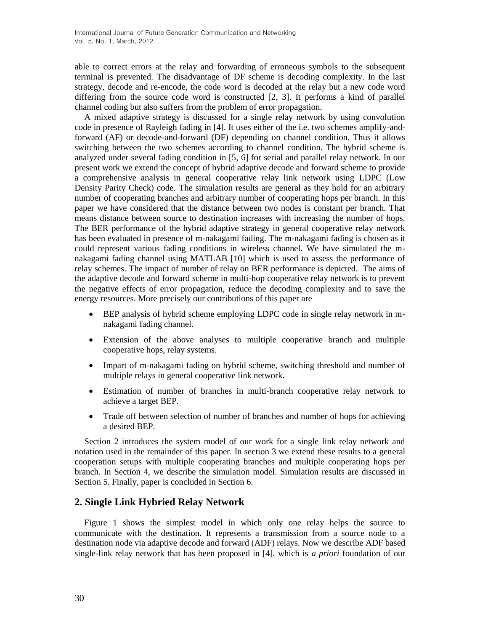able to correct errors at the relay and forwarding of erroneous symbols to the subsequent terminal is prevented. The disadvantage of DF scheme is decoding complexity. In the last strategy, decode and re-encode, the code word is decoded at the relay but a new code word differing from the source code word is constructed [2, 3]. It performs a kind of parallel channel coding but also suffers from the problem of error propagation.

A mixed adaptive strategy is discussed for a single relay network by using convolution code in presence of Rayleigh fading in [4]. It uses either of the i.e. two schemes amplify-andforward (AF) or decode-and-forward (DF) depending on channel condition. Thus it allows switching between the two schemes according to channel condition. The hybrid scheme is analyzed under several fading condition in [5, 6] for serial and parallel relay network. In our present work we extend the concept of hybrid adaptive decode and forward scheme to provide a comprehensive analysis in general cooperative relay link network using LDPC (Low Density Parity Check) code. The simulation results are general as they hold for an arbitrary number of cooperating branches and arbitrary number of cooperating hops per branch. In this paper we have considered that the distance between two nodes is constant per branch. That means distance between source to destination increases with increasing the number of hops. The BER performance of the hybrid adaptive strategy in general cooperative relay network has been evaluated in presence of m-nakagami fading. The m-nakagami fading is chosen as it could represent various fading conditions in wireless channel. We have simulated the mnakagami fading channel using MATLAB [10] which is used to assess the performance of relay schemes. The impact of number of relay on BER performance is depicted. The aims of the adaptive decode and forward scheme in multi-hop cooperative relay network is to prevent the negative effects of error propagation, reduce the decoding complexity and to save the energy resources. More precisely our contributions of this paper are

- BEP analysis of hybrid scheme employing LDPC code in single relay network in mnakagami fading channel.
- Extension of the above analyses to multiple cooperative branch and multiple cooperative hops, relay systems.
- Impart of m-nakagami fading on hybrid scheme, switching threshold and number of multiple relays in general cooperative link network**.**
- Estimation of number of branches in multi-branch cooperative relay network to achieve a target BEP.
- Trade off between selection of number of branches and number of hops for achieving a desired BEP.

Section 2 introduces the system model of our work for a single link relay network and notation used in the remainder of this paper. In section 3 we extend these results to a general cooperation setups with multiple cooperating branches and multiple cooperating hops per branch. In Section 4, we describe the simulation model. Simulation results are discussed in Section 5. Finally, paper is concluded in Section 6.

# **2. Single Link Hybried Relay Network**

Figure 1 shows the simplest model in which only one relay helps the source to communicate with the destination. It represents a transmission from a source node to a destination node via adaptive decode and forward (ADF) relays. Now we describe ADF based single-link relay network that has been proposed in [4], which is *a priori* foundation of our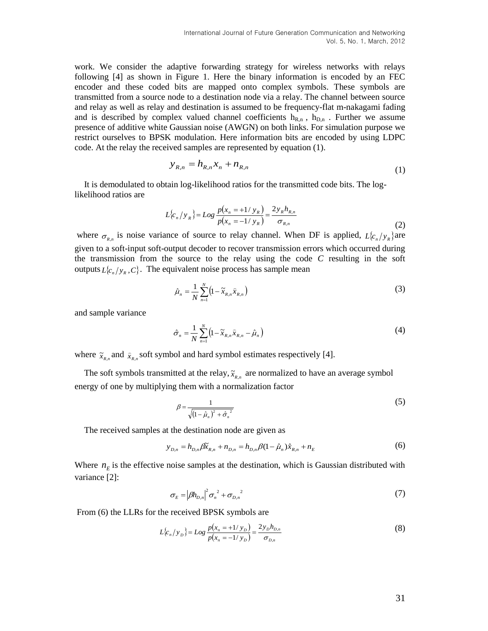work. We consider the adaptive forwarding strategy for wireless networks with relays following [4] as shown in Figure 1. Here the binary information is encoded by an FEC encoder and these coded bits are mapped onto complex symbols. These symbols are transmitted from a source node to a destination node via a relay. The channel between source and relay as well as relay and destination is assumed to be frequency-flat m-nakagami fading and is described by complex valued channel coefficients  $h_{R,n}$ ,  $h_{D,n}$ . Further we assume presence of additive white Gaussian noise (AWGN) on both links. For simulation purpose we restrict ourselves to BPSK modulation. Here information bits are encoded by using LDPC code. At the relay the received samples are represented by equation (1).

$$
y_{R,n} = h_{R,n} x_n + n_{R,n}
$$
 (1)

It is demodulated to obtain log-likelihood ratios for the transmitted code bits. The loglikelihood ratios are

$$
L\{c_n/y_R\} = Log \frac{p(x_n = +1/y_R)}{p(x_n = -1/y_R)} = \frac{2y_R h_{R,n}}{\sigma_{R,n}}
$$
(2)

where  $\sigma_{R,n}$  is noise variance of source to relay channel. When DF is applied,  $L\{c_n/y_R\}$  are given to a soft-input soft-output decoder to recover transmission errors which occurred during the transmission from the source to the relay using the code *C* resulting in the soft outputs  $L\{c_n / y_R, C\}$ . The equivalent noise process has sample mean

$$
\hat{\mu}_n = \frac{1}{N} \sum_{n=1}^N \left( 1 - \tilde{x}_{R,n} \hat{x}_{R,n} \right) \tag{3}
$$

and sample variance

$$
\hat{\sigma}_n = \frac{1}{N} \sum_{n=1}^N \left( 1 - \tilde{x}_{R,n} \hat{x}_{R,n} - \hat{\mu}_n \right) \tag{4}
$$

where  $\tilde{x}_{R,n}$  and  $\tilde{x}_{R,n}$  soft symbol and hard symbol estimates respectively [4].

The soft symbols transmitted at the relay,  $\tilde{x}_{R,n}$  are normalized to have an average symbol energy of one by multiplying them with a normalization factor

$$
\beta = \frac{1}{\sqrt{\left(1 - \hat{\mu}_n\right)^2 + \hat{\sigma}_n^2}}
$$
\n<sup>(5)</sup>

The received samples at the destination node are given as

$$
y_{D,n} = h_{D,n} \beta \tilde{x}_{R,n} + n_{D,n} = h_{D,n} \beta (1 - \hat{\mu}_n) \hat{x}_{R,n} + n_E
$$
 (6)

Where  $n<sub>E</sub>$  is the effective noise samples at the destination, which is Gaussian distributed with variance [2]:

$$
\sigma_E = |\beta h_{D,n}|^2 \sigma_n^2 + \sigma_{D,n}^2 \tag{7}
$$

From (6) the LLRs for the received BPSK symbols are

$$
L\{c_n/y_D\} = Log \frac{p(x_n = +1/y_D)}{p(x_n = -1/y_D)} = \frac{2y_D h_{D,n}}{\sigma_{D,n}}
$$
(8)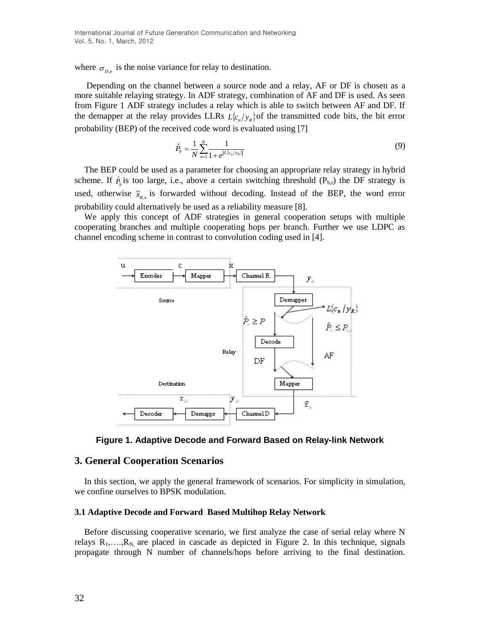where  $\sigma_{D,n}$  is the noise variance for relay to destination.

Depending on the channel between a source node and a relay, AF or DF is chosen as a more suitable relaying strategy. In ADF strategy, combination of AF and DF is used. As seen from Figure 1 ADF strategy includes a relay which is able to switch between AF and DF. If the demapper at the relay provides LLRs  $L(c_n/y_R)$  of the transmitted code bits, the bit error probability (BEP) of the received code word is evaluated using [7]

$$
\hat{P}_b = \frac{1}{N} \sum_{n=1}^{N} \frac{1}{1 + e^{|L(c_n/y_R)|}}
$$
(9)

The BEP could be used as a parameter for choosing an appropriate relay strategy in hybrid scheme. If  $\hat{P}_b$  is too large, i.e., above a certain switching threshold ( $P_{b,t}$ ) the DF strategy is used, otherwise  $\tilde{x}_{R,n}$  is forwarded without decoding. Instead of the BEP, the word error probability could alternatively be used as a reliability measure [8].

We apply this concept of ADF strategies in general cooperation setups with multiple cooperating branches and multiple cooperating hops per branch. Further we use LDPC as channel encoding scheme in contrast to convolution coding used in [4].





### **3. General Cooperation Scenarios**

In this section, we apply the general framework of scenarios. For simplicity in simulation, we confine ourselves to BPSK modulation.

#### **3.1 Adaptive Decode and Forward Based Multihop Relay Network**

Before discussing cooperative scenario, we first analyze the case of serial relay where N relays  $R_1, \ldots, R_N$  are placed in cascade as depicted in Figure 2. In this technique, signals propagate through N number of channels/hops before arriving to the final destination.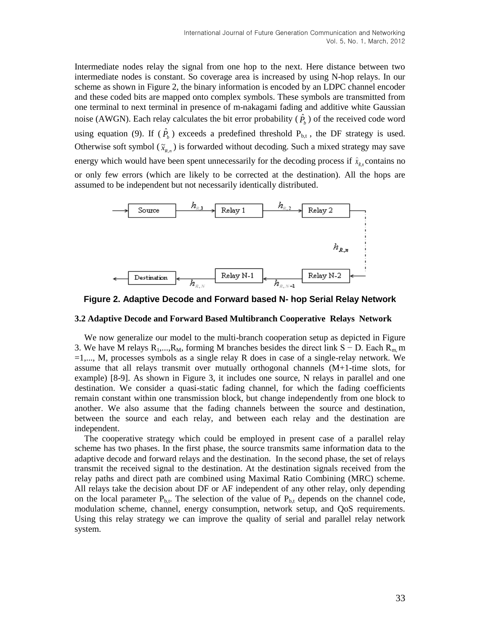Intermediate nodes relay the signal from one hop to the next. Here distance between two intermediate nodes is constant. So coverage area is increased by using N-hop relays. In our scheme as shown in Figure 2, the binary information is encoded by an LDPC channel encoder and these coded bits are mapped onto complex symbols. These symbols are transmitted from one terminal to next terminal in presence of m-nakagami fading and additive white Gaussian noise (AWGN). Each relay calculates the bit error probability  $(\hat{P}_b)$  of the received code word using equation (9). If  $(\hat{P}_b)$  exceeds a predefined threshold  $P_{b,t}$ , the DF strategy is used. Otherwise soft symbol  $(\tilde{x}_{R,n})$  is forwarded without decoding. Such a mixed strategy may save energy which would have been spent unnecessarily for the decoding process if  $\hat{x}_{R,n}$  $\hat{x}_{R_n}$  contains no or only few errors (which are likely to be corrected at the destination). All the hops are assumed to be independent but not necessarily identically distributed.





#### **3.2 Adaptive Decode and Forward Based Multibranch Cooperative Relays Network**

We now generalize our model to the multi-branch cooperation setup as depicted in Figure 3. We have M relays  $R_1,...,R_M$ , forming M branches besides the direct link S − D. Each  $R_m$  m =1,..., M, processes symbols as a single relay R does in case of a single-relay network. We assume that all relays transmit over mutually orthogonal channels (M+1-time slots, for example) [8-9]. As shown in Figure 3, it includes one source, N relays in parallel and one destination. We consider a quasi-static fading channel, for which the fading coefficients remain constant within one transmission block, but change independently from one block to another. We also assume that the fading channels between the source and destination, between the source and each relay, and between each relay and the destination are independent.

The cooperative strategy which could be employed in present case of a parallel relay scheme has two phases. In the first phase, the source transmits same information data to the adaptive decode and forward relays and the destination. In the second phase, the set of relays transmit the received signal to the destination. At the destination signals received from the relay paths and direct path are combined using Maximal Ratio Combining (MRC) scheme. All relays take the decision about DF or AF independent of any other relay, only depending on the local parameter  $P_{b,t}$ . The selection of the value of  $P_{b,t}$  depends on the channel code, modulation scheme, channel, energy consumption, network setup, and QoS requirements. Using this relay strategy we can improve the quality of serial and parallel relay network system.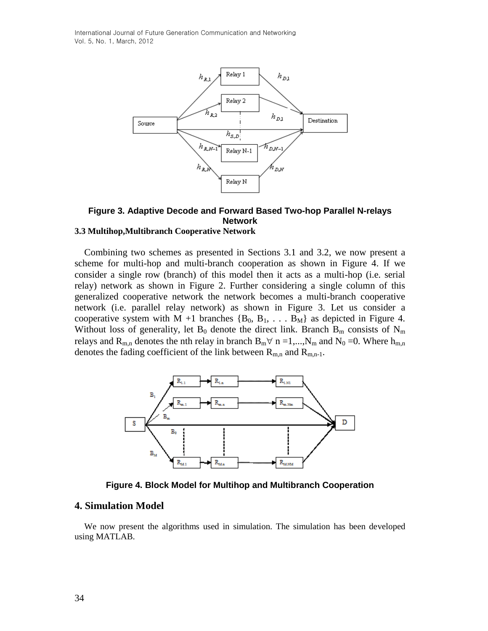International Journal of Future Generation Communication and Networking Vol. 5, No. 1, March, 2012



#### **Figure 3. Adaptive Decode and Forward Based Two-hop Parallel N-relays Network 3.3 Multihop,Multibranch Cooperative Network**

Combining two schemes as presented in Sections 3.1 and 3.2, we now present a scheme for multi-hop and multi-branch cooperation as shown in Figure 4. If we consider a single row (branch) of this model then it acts as a multi-hop (i.e. serial relay) network as shown in Figure 2. Further considering a single column of this generalized cooperative network the network becomes a multi-branch cooperative network (i.e. parallel relay network) as shown in Figure 3. Let us consider a cooperative system with M +1 branches  ${B_0, B_1, \ldots, B_M}$  as depicted in Figure 4. Without loss of generality, let B<sub>0</sub> denote the direct link. Branch B<sub>m</sub> consists of N<sub>m</sub> relays and R<sub>m,n</sub> denotes the nth relay in branch B<sub>m</sub> $\forall$  n =1,...,N<sub>m</sub> and N<sub>0</sub> =0. Where h<sub>m,n</sub> denotes the fading coefficient of the link between  $R_{m,n}$  and  $R_{m,n-1}$ .



**Figure 4. Block Model for Multihop and Multibranch Cooperation**

# **4. Simulation Model**

We now present the algorithms used in simulation. The simulation has been developed using MATLAB.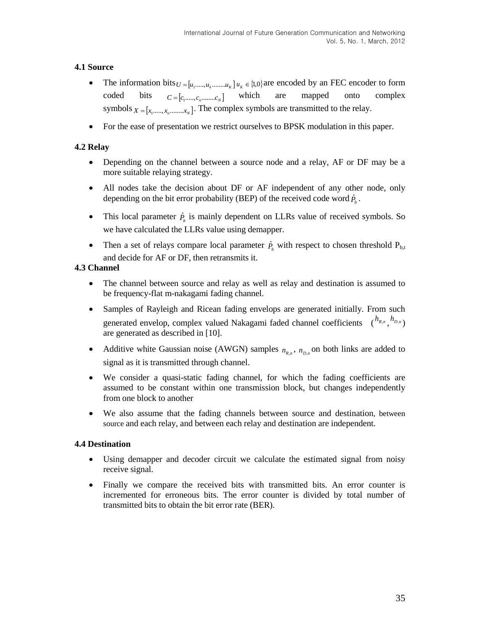# **4.1 Source**

- The information bits  $U = [u_1, \dots, u_k, \dots, u_k]$   $u_k \in \{1, 0\}$  are encoded by an FEC encoder to form coded bits  $C = [c_1, \ldots, c_n, \ldots, c_N]$  which are mapped onto complex symbols  $X = [x_1, \ldots, x_n, \ldots, x_N]$ . The complex symbols are transmitted to the relay.
- For the ease of presentation we restrict ourselves to BPSK modulation in this paper.

# **4.2 Relay**

- Depending on the channel between a source node and a relay, AF or DF may be a more suitable relaying strategy.
- All nodes take the decision about DF or AF independent of any other node, only depending on the bit error probability (BEP) of the received code word  $\hat{P}_b$ .
- This local parameter  $\hat{P}_b$  is mainly dependent on LLRs value of received symbols. So we have calculated the LLRs value using demapper.
- Then a set of relays compare local parameter  $\hat{P}_b$  with respect to chosen threshold  $P_{b,t}$ and decide for AF or DF, then retransmits it.

# **4.3 Channel**

- The channel between source and relay as well as relay and destination is assumed to be frequency-flat m-nakagami fading channel.
- Samples of Rayleigh and Ricean fading envelops are generated initially. From such generated envelop, complex valued Nakagami faded channel coefficients  $\binom{h_{R,n}}{h_{D,n}}$ are generated as described in [10].
- Additive white Gaussian noise (AWGN) samples  $n_{R,n}$ ,  $n_{D,n}$  on both links are added to signal as it is transmitted through channel.
- We consider a quasi-static fading channel, for which the fading coefficients are assumed to be constant within one transmission block, but changes independently from one block to another
- We also assume that the fading channels between source and destination, between source and each relay, and between each relay and destination are independent.

# **4.4 Destination**

- Using demapper and decoder circuit we calculate the estimated signal from noisy receive signal.
- Finally we compare the received bits with transmitted bits. An error counter is incremented for erroneous bits. The error counter is divided by total number of transmitted bits to obtain the bit error rate (BER).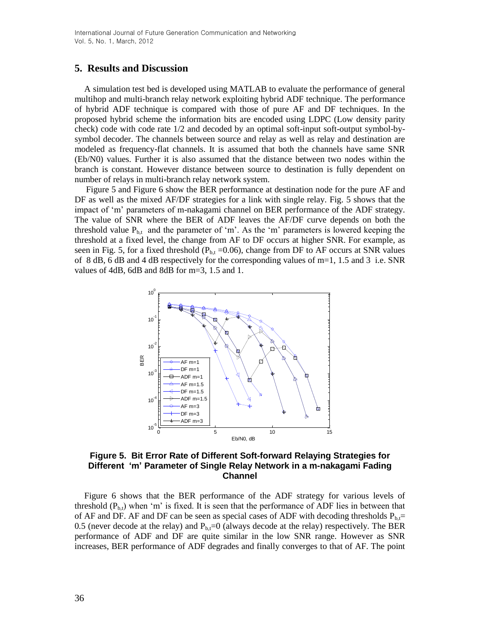# **5. Results and Discussion**

A simulation test bed is developed using MATLAB to evaluate the performance of general multihop and multi-branch relay network exploiting hybrid ADF technique. The performance of hybrid ADF technique is compared with those of pure AF and DF techniques. In the proposed hybrid scheme the information bits are encoded using LDPC (Low density parity check) code with code rate 1/2 and decoded by an optimal soft-input soft-output symbol-bysymbol decoder. The channels between source and relay as well as relay and destination are modeled as frequency-flat channels. It is assumed that both the channels have same SNR (Eb/N0) values. Further it is also assumed that the distance between two nodes within the branch is constant. However distance between source to destination is fully dependent on number of relays in multi-branch relay network system.

Figure 5 and Figure 6 show the BER performance at destination node for the pure AF and DF as well as the mixed AF/DF strategies for a link with single relay. Fig. 5 shows that the impact of 'm' parameters of m-nakagami channel on BER performance of the ADF strategy. The value of SNR where the BER of ADF leaves the AF/DF curve depends on both the threshold value  $P_{b,t}$  and the parameter of 'm'. As the 'm' parameters is lowered keeping the threshold at a fixed level, the change from AF to DF occurs at higher SNR. For example, as seen in Fig. 5, for a fixed threshold ( $P_{b,t}$  =0.06), change from DF to AF occurs at SNR values of 8 dB, 6 dB and 4 dB respectively for the corresponding values of m=1, 1.5 and 3 i.e. SNR values of 4dB, 6dB and 8dB for m=3, 1.5 and 1.



## **Figure 5. Bit Error Rate of Different Soft-forward Relaying Strategies for Different 'm' Parameter of Single Relay Network in a m-nakagami Fading Channel**

Figure 6 shows that the BER performance of the ADF strategy for various levels of threshold  $(P_{b,t})$  when 'm' is fixed. It is seen that the performance of ADF lies in between that of AF and DF. AF and DF can be seen as special cases of ADF with decoding thresholds  $P_{b,t}=$ 0.5 (never decode at the relay) and  $P_{b,t}=0$  (always decode at the relay) respectively. The BER performance of ADF and DF are quite similar in the low SNR range. However as SNR increases, BER performance of ADF degrades and finally converges to that of AF. The point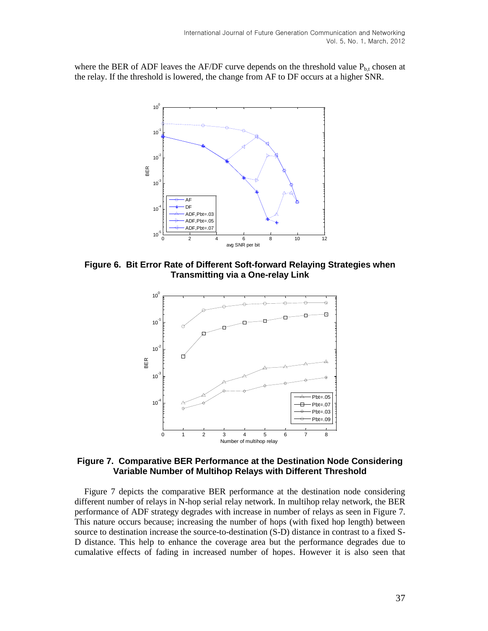where the BER of ADF leaves the AF/DF curve depends on the threshold value  $P_{b,t}$  chosen at the relay. If the threshold is lowered, the change from AF to DF occurs at a higher SNR.



**Figure 6. Bit Error Rate of Different Soft-forward Relaying Strategies when Transmitting via a One-relay Link**



**Figure 7. Comparative BER Performance at the Destination Node Considering Variable Number of Multihop Relays with Different Threshold**

Figure 7 depicts the comparative BER performance at the destination node considering different number of relays in N-hop serial relay network. In multihop relay network, the BER performance of ADF strategy degrades with increase in number of relays as seen in Figure 7. This nature occurs because; increasing the number of hops (with fixed hop length) between source to destination increase the source-to-destination (S-D) distance in contrast to a fixed S-D distance. This help to enhance the coverage area but the performance degrades due to cumalative effects of fading in increased number of hopes. However it is also seen that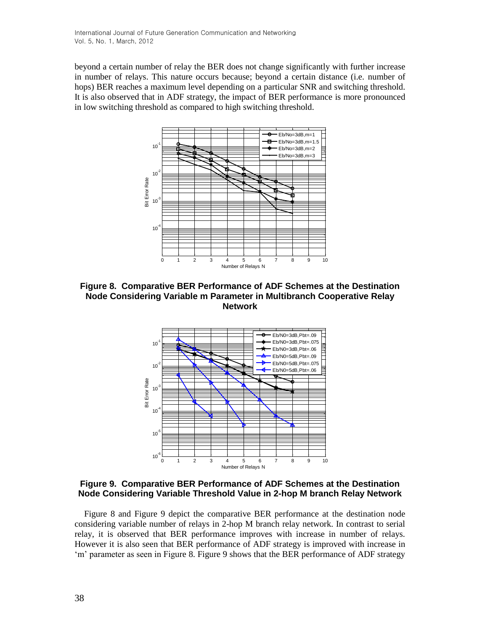beyond a certain number of relay the BER does not change significantly with further increase in number of relays. This nature occurs because; beyond a certain distance (i.e. number of hops) BER reaches a maximum level depending on a particular SNR and switching threshold. It is also observed that in ADF strategy, the impact of BER performance is more pronounced in low switching threshold as compared to high switching threshold.



**Figure 8. Comparative BER Performance of ADF Schemes at the Destination Node Considering Variable m Parameter in Multibranch Cooperative Relay Network**



**Figure 9. Comparative BER Performance of ADF Schemes at the Destination Node Considering Variable Threshold Value in 2-hop M branch Relay Network**

Figure 8 and Figure 9 depict the comparative BER performance at the destination node considering variable number of relays in 2-hop M branch relay network. In contrast to serial relay, it is observed that BER performance improves with increase in number of relays. However it is also seen that BER performance of ADF strategy is improved with increase in 'm' parameter as seen in Figure 8. Figure 9 shows that the BER performance of ADF strategy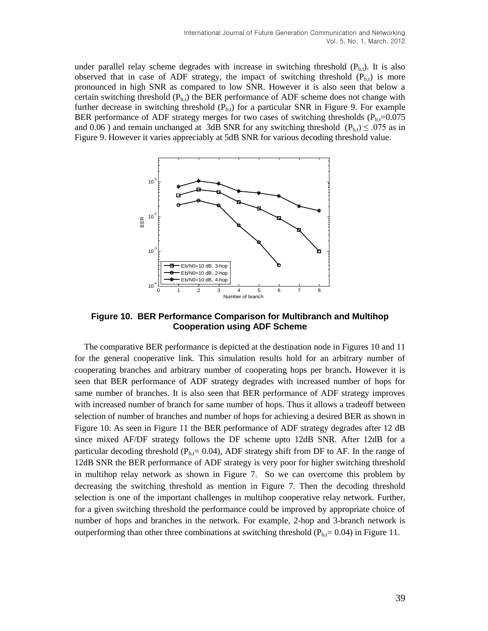under parallel relay scheme degrades with increase in switching threshold  $(P_{b,t})$ . It is also observed that in case of ADF strategy, the impact of switching threshold  $(P_{b,t})$  is more pronounced in high SNR as compared to low SNR. However it is also seen that below a certain switching threshold  $(P_{b,t})$  the BER performance of ADF scheme does not change with further decrease in switching threshold  $(P_{b,t})$  for a particular SNR in Figure 9. For example BER performance of ADF strategy merges for two cases of switching thresholds ( $P_{b,t}=0.075$ ) and 0.06 ) and remain unchanged at 3dB SNR for any switching threshold  $(P_{b,t}) \leq .075$  as in Figure 9. However it varies appreciably at 5dB SNR for various decoding threshold value.



**Figure 10. BER Performance Comparison for Multibranch and Multihop Cooperation using ADF Scheme**

The comparative BER performance is depicted at the destination node in Figures 10 and 11 for the general cooperative link. This simulation results hold for an arbitrary number of cooperating branches and arbitrary number of cooperating hops per branch**.** However it is seen that BER performance of ADF strategy degrades with increased number of hops for same number of branches. It is also seen that BER performance of ADF strategy improves with increased number of branch for same number of hops. Thus it allows a tradeoff between selection of number of branches and number of hops for achieving a desired BER as shown in Figure 10. As seen in Figure 11 the BER performance of ADF strategy degrades after 12 dB since mixed AF/DF strategy follows the DF scheme upto 12dB SNR. After 12dB for a particular decoding threshold ( $P<sub>b,t</sub>= 0.04$ ), ADF strategy shift from DF to AF. In the range of 12dB SNR the BER performance of ADF strategy is very poor for higher switching threshold in multihop relay network as shown in Figure 7. So we can overcome this problem by decreasing the switching threshold as mention in Figure 7. Then the decoding threshold selection is one of the important challenges in multihop cooperative relay network. Further, for a given switching threshold the performance could be improved by appropriate choice of number of hops and branches in the network. For example, 2-hop and 3-branch network is outperforming than other three combinations at switching threshold ( $P<sub>b,t</sub>= 0.04$ ) in Figure 11.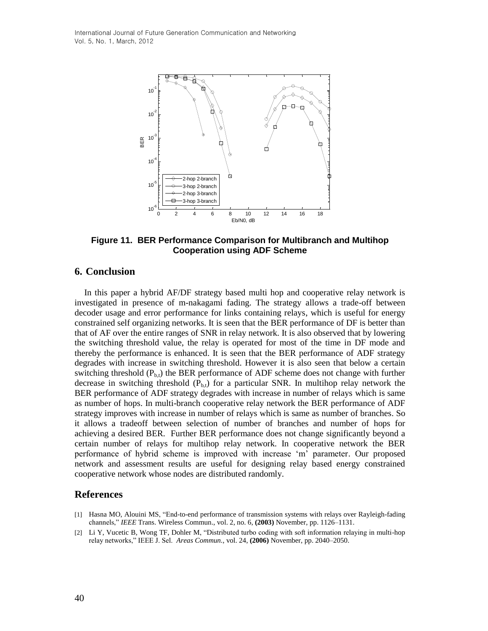

**Figure 11. BER Performance Comparison for Multibranch and Multihop Cooperation using ADF Scheme**

# **6. Conclusion**

In this paper a hybrid AF/DF strategy based multi hop and cooperative relay network is investigated in presence of m-nakagami fading. The strategy allows a trade-off between decoder usage and error performance for links containing relays, which is useful for energy constrained self organizing networks. It is seen that the BER performance of DF is better than that of AF over the entire ranges of SNR in relay network. It is also observed that by lowering the switching threshold value, the relay is operated for most of the time in DF mode and thereby the performance is enhanced. It is seen that the BER performance of ADF strategy degrades with increase in switching threshold. However it is also seen that below a certain switching threshold  $(P_{b,t})$  the BER performance of ADF scheme does not change with further decrease in switching threshold  $(P_{b,t})$  for a particular SNR. In multihop relay network the BER performance of ADF strategy degrades with increase in number of relays which is same as number of hops. In multi-branch cooperative relay network the BER performance of ADF strategy improves with increase in number of relays which is same as number of branches. So it allows a tradeoff between selection of number of branches and number of hops for achieving a desired BER. Further BER performance does not change significantly beyond a certain number of relays for multihop relay network. In cooperative network the BER performance of hybrid scheme is improved with increase 'm' parameter. Our proposed network and assessment results are useful for designing relay based energy constrained cooperative network whose nodes are distributed randomly.

# **References**

- [1] Hasna MO, Alouini MS, "End-to-end performance of transmission systems with relays over Rayleigh-fading channels," *IEEE* Trans. Wireless Commun., vol. 2, no. 6, **(2003)** November, pp. 1126–1131.
- [2] Li Y, Vucetic B, Wong TF, Dohler M, "Distributed turbo coding with soft information relaying in multi-hop relay networks," IEEE J. Sel. *Areas Commun.*, vol. 24, **(2006)** November, pp. 2040–2050.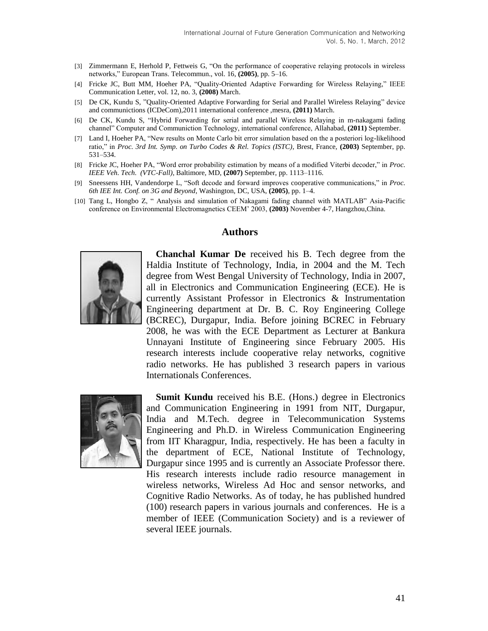- [3] Zimmermann E, Herhold P, Fettweis G, "On the performance of cooperative relaying protocols in wireless networks," European Trans. Telecommun., vol. 16, **(2005)**, pp. 5–16.
- [4] Fricke JC, Butt MM, Hoeher PA, "Quality-Oriented Adaptive Forwarding for Wireless Relaying," IEEE Communication Letter, vol. 12, no. 3, **(2008)** March.
- [5] De CK, Kundu S, "Quality-Oriented Adaptive Forwarding for Serial and Parallel Wireless Relaying" device and communictions (ICDeCom),2011 international conference ,mesra, **(2011)** March.
- [6] De CK, Kundu S, "Hybrid Forwarding for serial and parallel Wireless Relaying in m-nakagami fading channel" Computer and Communiction Technology, international conference, Allahabad, **(2011)** September.
- [7] Land I, Hoeher PA, "New results on Monte Carlo bit error simulation based on the a posteriori log-likelihood ratio," in *Proc. 3rd Int. Symp. on Turbo Codes & Rel. Topics (ISTC)*, Brest, France, **(2003)** September, pp. 531–534.
- [8] Fricke JC, Hoeher PA, "Word error probability estimation by means of a modified Viterbi decoder," in *Proc. IEEE Veh. Tech. (VTC-Fall)*, Baltimore, MD, **(2007)** September, pp. 1113–1116.
- [9] Sneessens HH, Vandendorpe L, "Soft decode and forward improves cooperative communications," in *Proc. 6th IEE Int. Conf. on 3G and Beyond*, Washington, DC, USA, **(2005)**, pp. 1–4.
- [10] Tang L, Hongbo Z, " Analysis and simulation of Nakagami fading channel with MATLAB" Asia-Pacific conference on Environmental Electromagnetics CEEM' 2003, **(2003)** November 4-7, Hangzhou,China.

### **Authors**



**Chanchal Kumar De** received his B. Tech degree from the Haldia Institute of Technology, India, in 2004 and the M. Tech degree from West Bengal University of Technology, India in 2007, all in Electronics and Communication Engineering (ECE). He is currently Assistant Professor in Electronics & Instrumentation Engineering department at Dr. B. C. Roy Engineering College (BCREC), Durgapur, India. Before joining BCREC in February 2008, he was with the ECE Department as Lecturer at Bankura Unnayani Institute of Engineering since February 2005. His research interests include cooperative relay networks, cognitive radio networks. He has published 3 research papers in various Internationals Conferences.



**Sumit Kundu** received his B.E. (Hons.) degree in Electronics and Communication Engineering in 1991 from NIT, Durgapur, India and M.Tech. degree in Telecommunication Systems Engineering and Ph.D. in Wireless Communication Engineering from IIT Kharagpur, India, respectively. He has been a faculty in the department of ECE, National Institute of Technology, Durgapur since 1995 and is currently an Associate Professor there. His research interests include radio resource management in wireless networks, Wireless Ad Hoc and sensor networks, and Cognitive Radio Networks. As of today, he has published hundred (100) research papers in various journals and conferences. He is a member of IEEE (Communication Society) and is a reviewer of several IEEE journals.